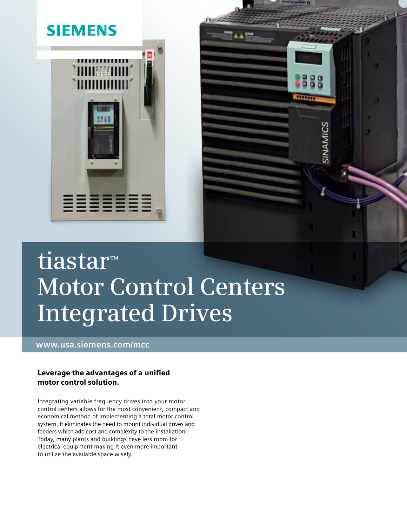

# **tiastar™ Motor Control Centers Integrated Drives**

SINAMICS

**www.usa.siemens.com/mcc**

#### Leverage the advantages of a unified motor control solution.

Integrating variable frequency drives into your motor control centers allows for the most convenient, compact and economical method of implementing a total motor control system. It eliminates the need to mount individual drives and feeders which add cost and complexity to the installation. Today, many plants and buildings have less room for electrical equipment making it even more important to utilize the available space wisely.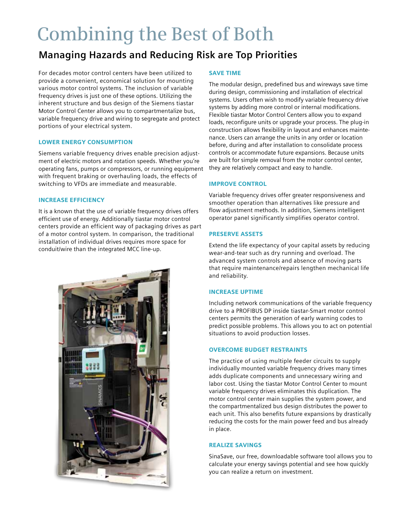## **Combining the Best of Both**

### **Managing Hazards and Reducing Risk are Top Priorities**

For decades motor control centers have been utilized to provide a convenient, economical solution for mounting various motor control systems. The inclusion of variable frequency drives is just one of these options. Utilizing the inherent structure and bus design of the Siemens tiastar Motor Control Center allows you to compartmentalize bus, variable frequency drive and wiring to segregate and protect portions of your electrical system.

#### LOWER ENERGY CONSUMPTION

Siemens variable frequency drives enable precision adjustment of electric motors and rotation speeds. Whether you're operating fans, pumps or compressors, or running equipment with frequent braking or overhauling loads, the effects of switching to VFDs are immediate and measurable.

#### INCREASE Efficiency

It is a known that the use of variable frequency drives offers efficient use of energy. Additionally tiastar motor control centers provide an efficient way of packaging drives as part of a motor control system. In comparison, the traditional installation of individual drives requires more space for conduit/wire than the integrated MCC line-up.



#### SAVE TIME

The modular design, predefined bus and wireways save time during design, commissioning and installation of electrical systems. Users often wish to modify variable frequency drive systems by adding more control or internal modifications. Flexible tiastar Motor Control Centers allow you to expand loads, reconfigure units or upgrade your process. The plug-in construction allows flexibility in layout and enhances maintenance. Users can arrange the units in any order or location before, during and after installation to consolidate process controls or accommodate future expansions. Because units are built for simple removal from the motor control center, they are relatively compact and easy to handle.

#### IMPROVE CONTROL

Variable frequency drives offer greater responsiveness and smoother operation than alternatives like pressure and flow adjustment methods. In addition, Siemens intelligent operator panel significantly simplifies operator control.

#### PRESERVE ASSETS

Extend the life expectancy of your capital assets by reducing wear-and-tear such as dry running and overload. The advanced system controls and absence of moving parts that require maintenance/repairs lengthen mechanical life and reliability.

#### INCREASE UPTIME

Including network communications of the variable frequency drive to a PROFIBUS DP inside tiastar-Smart motor control centers permits the generation of early warning codes to predict possible problems. This allows you to act on potential situations to avoid production losses.

#### OVERCOME BUDGET RESTRAINTS

The practice of using multiple feeder circuits to supply individually mounted variable frequency drives many times adds duplicate components and unnecessary wiring and labor cost. Using the tiastar Motor Control Center to mount variable frequency drives eliminates this duplication. The motor control center main supplies the system power, and the compartmentalized bus design distributes the power to each unit. This also benefits future expansions by drastically reducing the costs for the main power feed and bus already in place.

#### REALIZE SAVINGS

SinaSave, our free, downloadable software tool allows you to calculate your energy savings potential and see how quickly you can realize a return on investment.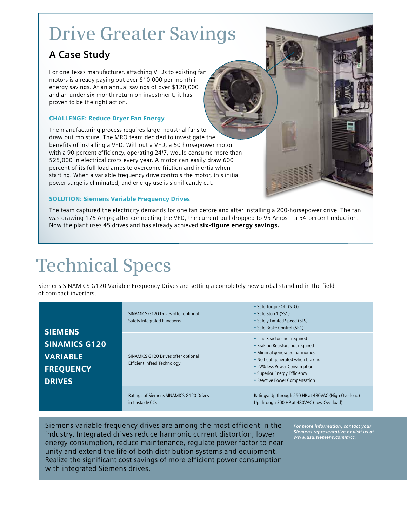### **Drive Greater Savings**

### **A Case Study**

For one Texas manufacturer, attaching VFDs to existing fan motors is already paying out over \$10,000 per month in energy savings. At an annual savings of over \$120,000 and an under six-month return on investment, it has proven to be the right action.

#### Challenge: Reduce Dryer Fan Energy

The manufacturing process requires large industrial fans to draw out moisture. The MRO team decided to investigate the benefits of installing a VFD. Without a VFD, a 50 horsepower motor with a 90-percent efficiency, operating 24/7, would consume more than \$25,000 in electrical costs every year. A motor can easily draw 600 percent of its full load amps to overcome friction and inertia when starting. When a variable frequency drive controls the motor, this initial power surge is eliminated, and energy use is significantly cut.

#### **SOLUTION: Siemens Variable Frequency Drives**

The team captured the electricity demands for one fan before and after installing a 200-horsepower drive. The fan was drawing 175 Amps; after connecting the VFD, the current pull dropped to 95 Amps – a 54-percent reduction. Now the plant uses 45 drives and has already achieved six-figure energy savings.

## **Technical Specs**

 Siemens SINAMICS G120 Variable Frequency Drives are setting a completely new global standard in the field of compact inverters.

| <b>SIEMENS</b><br><b>SINAMICS G120</b><br><b>VARIABLE</b><br><b>FREQUENCY</b><br><b>DRIVES</b> | SINAMICS G120 Drives offer optional<br><b>Safety Integrated Functions</b> | • Safe Torque Off (STO)<br>• Safe Stop 1 (SS1)<br>• Safely Limited Speed (SLS)<br>• Safe Brake Control (SBC)                                                                                                                           |
|------------------------------------------------------------------------------------------------|---------------------------------------------------------------------------|----------------------------------------------------------------------------------------------------------------------------------------------------------------------------------------------------------------------------------------|
|                                                                                                | SINAMICS G120 Drives offer optional<br>Efficient Infeed Technology        | • Line Reactors not required<br>• Braking Resistors not required<br>• Minimal generated harmonics<br>. No heat generated when braking<br>• 22% less Power Consumption<br>• Superior Energy Efficiency<br>• Reactive Power Compensation |
|                                                                                                | Ratings of Siemens SINAMICS G120 Drives<br>in tiastar MCCs                | Ratings: Up through 250 HP at 480VAC (High Overload)<br>Up through 300 HP at 480VAC (Low Overload)                                                                                                                                     |

Siemens variable frequency drives are among the most efficient in the industry. Integrated drives reduce harmonic current distortion, lower energy consumption, reduce maintenance, regulate power factor to near unity and extend the life of both distribution systems and equipment. Realize the significant cost savings of more efficient power consumption with integrated Siemens drives.

*For more information, contact your Siemens representative or visit us at www.usa.siemens.com/mcc.*